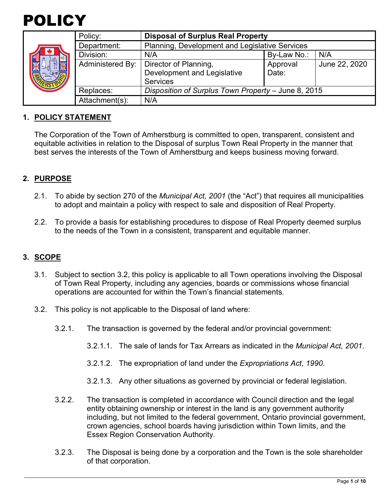

|  | Policy:          | <b>Disposal of Surplus Real Property</b>            |             |               |
|--|------------------|-----------------------------------------------------|-------------|---------------|
|  | Department:      | Planning, Development and Legislative Services      |             |               |
|  | Division:        | N/A                                                 | By-Law No.: | N/A           |
|  | Administered By: | Director of Planning,                               | Approval    | June 22, 2020 |
|  |                  | Development and Legislative                         | Date:       |               |
|  |                  | <b>Services</b>                                     |             |               |
|  | Replaces:        | Disposition of Surplus Town Property - June 8, 2015 |             |               |
|  | Attachment(s):   | N/A                                                 |             |               |

### **1. POLICY STATEMENT**

The Corporation of the Town of Amherstburg is committed to open, transparent, consistent and equitable activities in relation to the Disposal of surplus Town Real Property in the manner that best serves the interests of the Town of Amherstburg and keeps business moving forward.

#### **2. PURPOSE**

- 2.1. To abide by section 270 of the *Municipal Act, 2001* (the "Act") that requires all municipalities to adopt and maintain a policy with respect to sale and disposition of Real Property.
- 2.2. To provide a basis for establishing procedures to dispose of Real Property deemed surplus to the needs of the Town in a consistent, transparent and equitable manner.

#### **3. SCOPE**

- 3.1. Subject to section 3.2, this policy is applicable to all Town operations involving the Disposal of Town Real Property, including any agencies, boards or commissions whose financial operations are accounted for within the Town's financial statements.
- 3.2. This policy is not applicable to the Disposal of land where:
	- 3.2.1. The transaction is governed by the federal and/or provincial government:
		- 3.2.1.1. The sale of lands for Tax Arrears as indicated in the *Municipal Act, 2001*.
		- 3.2.1.2. The expropriation of land under the *Expropriations Act*, *1990*.
		- 3.2.1.3. Any other situations as governed by provincial or federal legislation.
	- 3.2.2. The transaction is completed in accordance with Council direction and the legal entity obtaining ownership or interest in the land is any government authority including, but not limited to the federal government, Ontario provincial government, crown agencies, school boards having jurisdiction within Town limits, and the Essex Region Conservation Authority.
	- 3.2.3. The Disposal is being done by a corporation and the Town is the sole shareholder of that corporation.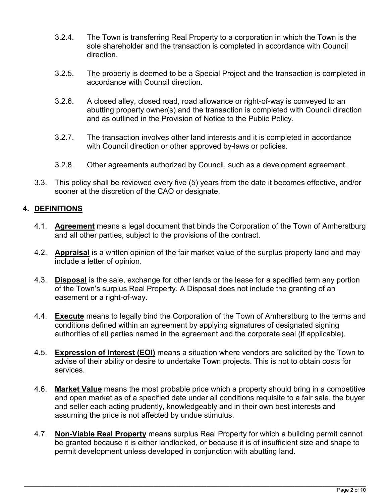- 3.2.4. The Town is transferring Real Property to a corporation in which the Town is the sole shareholder and the transaction is completed in accordance with Council direction.
- 3.2.5. The property is deemed to be a Special Project and the transaction is completed in accordance with Council direction.
- 3.2.6. A closed alley, closed road, road allowance or right-of-way is conveyed to an abutting property owner(s) and the transaction is completed with Council direction and as outlined in the Provision of Notice to the Public Policy.
- 3.2.7. The transaction involves other land interests and it is completed in accordance with Council direction or other approved by-laws or policies.
- 3.2.8. Other agreements authorized by Council, such as a development agreement.
- 3.3. This policy shall be reviewed every five (5) years from the date it becomes effective, and/or sooner at the discretion of the CAO or designate.

# **4. DEFINITIONS**

- 4.1. **Agreement** means a legal document that binds the Corporation of the Town of Amherstburg and all other parties, subject to the provisions of the contract.
- 4.2. **Appraisal** is a written opinion of the fair market value of the surplus property land and may include a letter of opinion.
- 4.3. **Disposal** is the sale, exchange for other lands or the lease for a specified term any portion of the Town's surplus Real Property. A Disposal does not include the granting of an easement or a right-of-way.
- 4.4. **Execute** means to legally bind the Corporation of the Town of Amherstburg to the terms and conditions defined within an agreement by applying signatures of designated signing authorities of all parties named in the agreement and the corporate seal (if applicable).
- 4.5. **Expression of Interest (EOI)** means a situation where vendors are solicited by the Town to advise of their ability or desire to undertake Town projects. This is not to obtain costs for services.
- 4.6. **Market Value** means the most probable price which a property should bring in a competitive and open market as of a specified date under all conditions requisite to a fair sale, the buyer and seller each acting prudently, knowledgeably and in their own best interests and assuming the price is not affected by undue stimulus.
- 4.7. **Non-Viable Real Property** means surplus Real Property for which a building permit cannot be granted because it is either landlocked, or because it is of insufficient size and shape to permit development unless developed in conjunction with abutting land.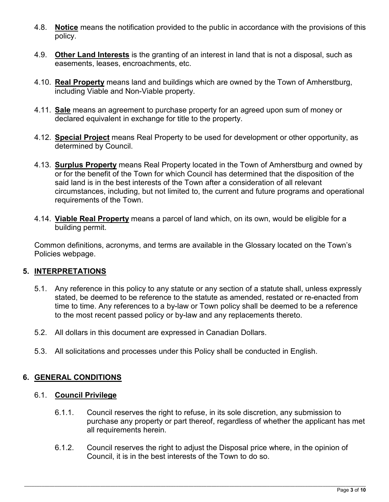- 4.8. **Notice** means the notification provided to the public in accordance with the provisions of this policy.
- 4.9. **Other Land Interests** is the granting of an interest in land that is not a disposal, such as easements, leases, encroachments, etc.
- 4.10. **Real Property** means land and buildings which are owned by the Town of Amherstburg, including Viable and Non-Viable property.
- 4.11. **Sale** means an agreement to purchase property for an agreed upon sum of money or declared equivalent in exchange for title to the property.
- 4.12. **Special Project** means Real Property to be used for development or other opportunity, as determined by Council.
- 4.13. **Surplus Property** means Real Property located in the Town of Amherstburg and owned by or for the benefit of the Town for which Council has determined that the disposition of the said land is in the best interests of the Town after a consideration of all relevant circumstances, including, but not limited to, the current and future programs and operational requirements of the Town.
- 4.14. **Viable Real Property** means a parcel of land which, on its own, would be eligible for a building permit.

Common definitions, acronyms, and terms are available in the Glossary located on the Town's Policies webpage.

## **5. INTERPRETATIONS**

- 5.1. Any reference in this policy to any statute or any section of a statute shall, unless expressly stated, be deemed to be reference to the statute as amended, restated or re-enacted from time to time. Any references to a by-law or Town policy shall be deemed to be a reference to the most recent passed policy or by-law and any replacements thereto.
- 5.2. All dollars in this document are expressed in Canadian Dollars.
- 5.3. All solicitations and processes under this Policy shall be conducted in English.

## **6. GENERAL CONDITIONS**

## 6.1. **Council Privilege**

- 6.1.1. Council reserves the right to refuse, in its sole discretion, any submission to purchase any property or part thereof, regardless of whether the applicant has met all requirements herein.
- 6.1.2. Council reserves the right to adjust the Disposal price where, in the opinion of Council, it is in the best interests of the Town to do so.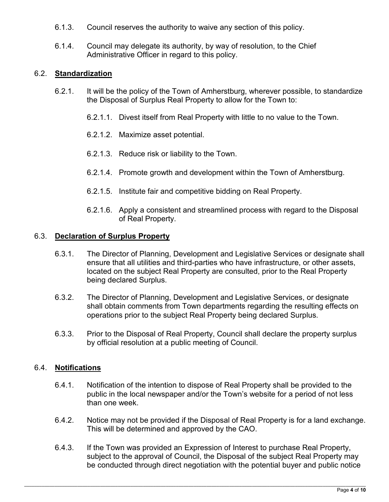- 6.1.3. Council reserves the authority to waive any section of this policy.
- 6.1.4. Council may delegate its authority, by way of resolution, to the Chief Administrative Officer in regard to this policy.

## 6.2. **Standardization**

- 6.2.1. It will be the policy of the Town of Amherstburg, wherever possible, to standardize the Disposal of Surplus Real Property to allow for the Town to:
	- 6.2.1.1. Divest itself from Real Property with little to no value to the Town.
	- 6.2.1.2. Maximize asset potential.
	- 6.2.1.3. Reduce risk or liability to the Town.
	- 6.2.1.4. Promote growth and development within the Town of Amherstburg.
	- 6.2.1.5. Institute fair and competitive bidding on Real Property.
	- 6.2.1.6. Apply a consistent and streamlined process with regard to the Disposal of Real Property.

#### 6.3. **Declaration of Surplus Property**

- 6.3.1. The Director of Planning, Development and Legislative Services or designate shall ensure that all utilities and third-parties who have infrastructure, or other assets, located on the subject Real Property are consulted, prior to the Real Property being declared Surplus.
- 6.3.2. The Director of Planning, Development and Legislative Services, or designate shall obtain comments from Town departments regarding the resulting effects on operations prior to the subject Real Property being declared Surplus.
- 6.3.3. Prior to the Disposal of Real Property, Council shall declare the property surplus by official resolution at a public meeting of Council.

## 6.4. **Notifications**

- 6.4.1. Notification of the intention to dispose of Real Property shall be provided to the public in the local newspaper and/or the Town's website for a period of not less than one week.
- 6.4.2. Notice may not be provided if the Disposal of Real Property is for a land exchange. This will be determined and approved by the CAO.
- 6.4.3. If the Town was provided an Expression of Interest to purchase Real Property, subject to the approval of Council, the Disposal of the subject Real Property may be conducted through direct negotiation with the potential buyer and public notice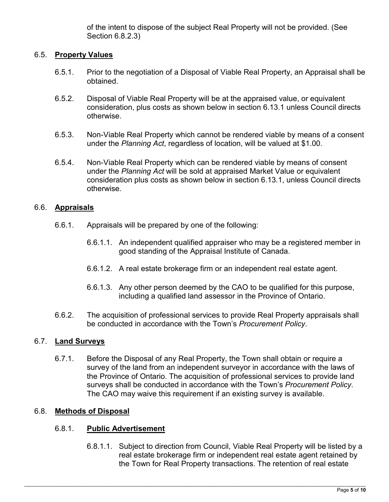of the intent to dispose of the subject Real Property will not be provided. (See Section 6.8.2.3)

### 6.5. **Property Values**

- 6.5.1. Prior to the negotiation of a Disposal of Viable Real Property, an Appraisal shall be obtained.
- 6.5.2. Disposal of Viable Real Property will be at the appraised value, or equivalent consideration, plus costs as shown below in section 6.13.1 unless Council directs otherwise.
- 6.5.3. Non-Viable Real Property which cannot be rendered viable by means of a consent under the *Planning Act*, regardless of location, will be valued at \$1.00.
- 6.5.4. Non-Viable Real Property which can be rendered viable by means of consent under the *Planning Act* will be sold at appraised Market Value or equivalent consideration plus costs as shown below in section 6.13.1, unless Council directs otherwise.

### 6.6. **Appraisals**

- 6.6.1. Appraisals will be prepared by one of the following:
	- 6.6.1.1. An independent qualified appraiser who may be a registered member in good standing of the Appraisal Institute of Canada.
	- 6.6.1.2. A real estate brokerage firm or an independent real estate agent.
	- 6.6.1.3. Any other person deemed by the CAO to be qualified for this purpose, including a qualified land assessor in the Province of Ontario.
- 6.6.2. The acquisition of professional services to provide Real Property appraisals shall be conducted in accordance with the Town's *Procurement Policy*.

#### 6.7. **Land Surveys**

6.7.1. Before the Disposal of any Real Property, the Town shall obtain or require a survey of the land from an independent surveyor in accordance with the laws of the Province of Ontario. The acquisition of professional services to provide land surveys shall be conducted in accordance with the Town's *Procurement Policy*. The CAO may waive this requirement if an existing survey is available.

#### 6.8. **Methods of Disposal**

#### 6.8.1. **Public Advertisement**

6.8.1.1. Subject to direction from Council, Viable Real Property will be listed by a real estate brokerage firm or independent real estate agent retained by the Town for Real Property transactions. The retention of real estate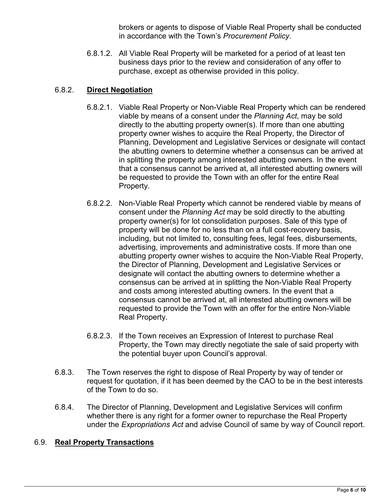brokers or agents to dispose of Viable Real Property shall be conducted in accordance with the Town's *Procurement Policy*.

6.8.1.2. All Viable Real Property will be marketed for a period of at least ten business days prior to the review and consideration of any offer to purchase, except as otherwise provided in this policy.

## 6.8.2. **Direct Negotiation**

- 6.8.2.1. Viable Real Property or Non-Viable Real Property which can be rendered viable by means of a consent under the *Planning Act*, may be sold directly to the abutting property owner(s). If more than one abutting property owner wishes to acquire the Real Property, the Director of Planning, Development and Legislative Services or designate will contact the abutting owners to determine whether a consensus can be arrived at in splitting the property among interested abutting owners. In the event that a consensus cannot be arrived at, all interested abutting owners will be requested to provide the Town with an offer for the entire Real Property.
- 6.8.2.2. Non-Viable Real Property which cannot be rendered viable by means of consent under the *Planning Act* may be sold directly to the abutting property owner(s) for lot consolidation purposes. Sale of this type of property will be done for no less than on a full cost-recovery basis, including, but not limited to, consulting fees, legal fees, disbursements, advertising, improvements and administrative costs. If more than one abutting property owner wishes to acquire the Non-Viable Real Property, the Director of Planning, Development and Legislative Services or designate will contact the abutting owners to determine whether a consensus can be arrived at in splitting the Non-Viable Real Property and costs among interested abutting owners. In the event that a consensus cannot be arrived at, all interested abutting owners will be requested to provide the Town with an offer for the entire Non-Viable Real Property.
- 6.8.2.3. If the Town receives an Expression of Interest to purchase Real Property, the Town may directly negotiate the sale of said property with the potential buyer upon Council's approval.
- 6.8.3. The Town reserves the right to dispose of Real Property by way of tender or request for quotation, if it has been deemed by the CAO to be in the best interests of the Town to do so.
- 6.8.4. The Director of Planning, Development and Legislative Services will confirm whether there is any right for a former owner to repurchase the Real Property under the *Expropriations Act* and advise Council of same by way of Council report.

#### 6.9. **Real Property Transactions**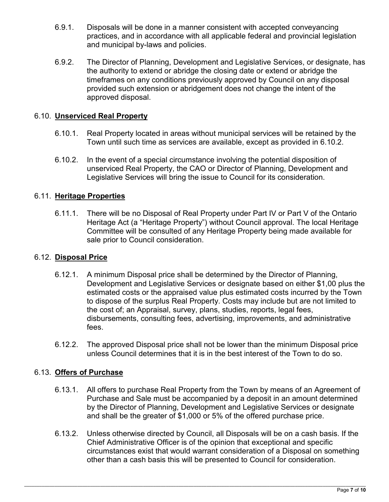- 6.9.1. Disposals will be done in a manner consistent with accepted conveyancing practices, and in accordance with all applicable federal and provincial legislation and municipal by-laws and policies.
- 6.9.2. The Director of Planning, Development and Legislative Services, or designate, has the authority to extend or abridge the closing date or extend or abridge the timeframes on any conditions previously approved by Council on any disposal provided such extension or abridgement does not change the intent of the approved disposal.

## 6.10. **Unserviced Real Property**

- 6.10.1. Real Property located in areas without municipal services will be retained by the Town until such time as services are available, except as provided in 6.10.2.
- 6.10.2. In the event of a special circumstance involving the potential disposition of unserviced Real Property, the CAO or Director of Planning, Development and Legislative Services will bring the issue to Council for its consideration.

### 6.11. **Heritage Properties**

6.11.1. There will be no Disposal of Real Property under Part IV or Part V of the Ontario Heritage Act (a "Heritage Property") without Council approval. The local Heritage Committee will be consulted of any Heritage Property being made available for sale prior to Council consideration.

#### 6.12. **Disposal Price**

- 6.12.1. A minimum Disposal price shall be determined by the Director of Planning, Development and Legislative Services or designate based on either \$1,00 plus the estimated costs or the appraised value plus estimated costs incurred by the Town to dispose of the surplus Real Property. Costs may include but are not limited to the cost of; an Appraisal, survey, plans, studies, reports, legal fees, disbursements, consulting fees, advertising, improvements, and administrative fees.
- 6.12.2. The approved Disposal price shall not be lower than the minimum Disposal price unless Council determines that it is in the best interest of the Town to do so.

#### 6.13. **Offers of Purchase**

- 6.13.1. All offers to purchase Real Property from the Town by means of an Agreement of Purchase and Sale must be accompanied by a deposit in an amount determined by the Director of Planning, Development and Legislative Services or designate and shall be the greater of \$1,000 or 5% of the offered purchase price.
- 6.13.2. Unless otherwise directed by Council, all Disposals will be on a cash basis. If the Chief Administrative Officer is of the opinion that exceptional and specific circumstances exist that would warrant consideration of a Disposal on something other than a cash basis this will be presented to Council for consideration.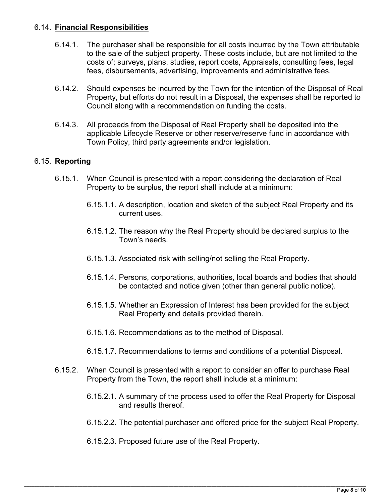## 6.14. **Financial Responsibilities**

- 6.14.1. The purchaser shall be responsible for all costs incurred by the Town attributable to the sale of the subject property. These costs include, but are not limited to the costs of; surveys, plans, studies, report costs, Appraisals, consulting fees, legal fees, disbursements, advertising, improvements and administrative fees.
- 6.14.2. Should expenses be incurred by the Town for the intention of the Disposal of Real Property, but efforts do not result in a Disposal, the expenses shall be reported to Council along with a recommendation on funding the costs.
- 6.14.3. All proceeds from the Disposal of Real Property shall be deposited into the applicable Lifecycle Reserve or other reserve/reserve fund in accordance with Town Policy, third party agreements and/or legislation.

### 6.15. **Reporting**

- 6.15.1. When Council is presented with a report considering the declaration of Real Property to be surplus, the report shall include at a minimum:
	- 6.15.1.1. A description, location and sketch of the subject Real Property and its current uses.
	- 6.15.1.2. The reason why the Real Property should be declared surplus to the Town's needs.
	- 6.15.1.3. Associated risk with selling/not selling the Real Property.
	- 6.15.1.4. Persons, corporations, authorities, local boards and bodies that should be contacted and notice given (other than general public notice).
	- 6.15.1.5. Whether an Expression of Interest has been provided for the subject Real Property and details provided therein.
	- 6.15.1.6. Recommendations as to the method of Disposal.
	- 6.15.1.7. Recommendations to terms and conditions of a potential Disposal.
- 6.15.2. When Council is presented with a report to consider an offer to purchase Real Property from the Town, the report shall include at a minimum:
	- 6.15.2.1. A summary of the process used to offer the Real Property for Disposal and results thereof.
	- 6.15.2.2. The potential purchaser and offered price for the subject Real Property.
	- 6.15.2.3. Proposed future use of the Real Property.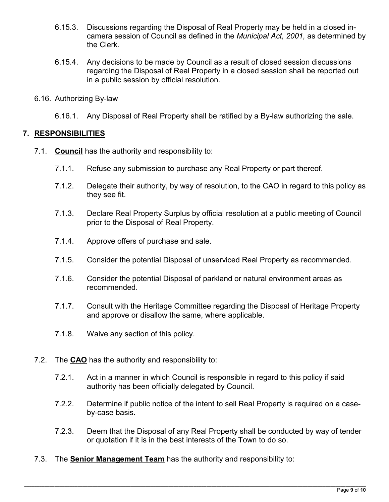- 6.15.3. Discussions regarding the Disposal of Real Property may be held in a closed incamera session of Council as defined in the *Municipal Act, 2001,* as determined by the Clerk.
- 6.15.4. Any decisions to be made by Council as a result of closed session discussions regarding the Disposal of Real Property in a closed session shall be reported out in a public session by official resolution.
- 6.16. Authorizing By-law
	- 6.16.1. Any Disposal of Real Property shall be ratified by a By-law authorizing the sale.

### **7. RESPONSIBILITIES**

- 7.1. **Council** has the authority and responsibility to:
	- 7.1.1. Refuse any submission to purchase any Real Property or part thereof.
	- 7.1.2. Delegate their authority, by way of resolution, to the CAO in regard to this policy as they see fit.
	- 7.1.3. Declare Real Property Surplus by official resolution at a public meeting of Council prior to the Disposal of Real Property.
	- 7.1.4. Approve offers of purchase and sale.
	- 7.1.5. Consider the potential Disposal of unserviced Real Property as recommended.
	- 7.1.6. Consider the potential Disposal of parkland or natural environment areas as recommended.
	- 7.1.7. Consult with the Heritage Committee regarding the Disposal of Heritage Property and approve or disallow the same, where applicable.
	- 7.1.8. Waive any section of this policy.
- 7.2. The **CAO** has the authority and responsibility to:
	- 7.2.1. Act in a manner in which Council is responsible in regard to this policy if said authority has been officially delegated by Council.
	- 7.2.2. Determine if public notice of the intent to sell Real Property is required on a caseby-case basis.
	- 7.2.3. Deem that the Disposal of any Real Property shall be conducted by way of tender or quotation if it is in the best interests of the Town to do so.
- 7.3. The **Senior Management Team** has the authority and responsibility to: